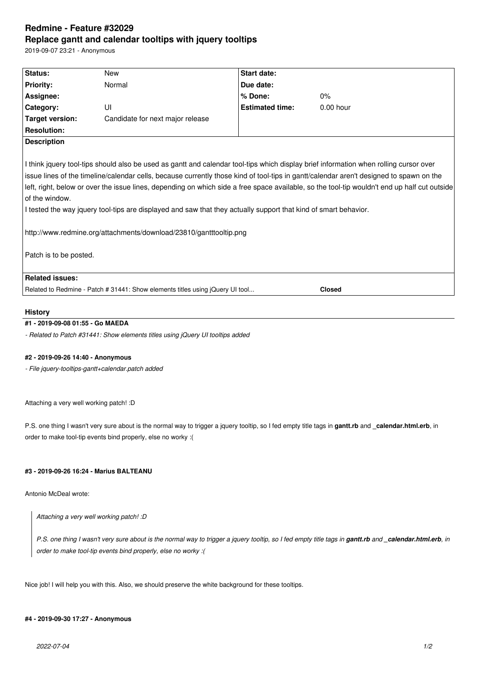# **Redmine - Feature #32029 Replace gantt and calendar tooltips with jquery tooltips**

2019-09-07 23:21 - Anonymous

| Status:                                  | New                                                                                                                                                                                                                                                                                                                            | Start date:            |                                                                                                                                                                                                                                                                                         |
|------------------------------------------|--------------------------------------------------------------------------------------------------------------------------------------------------------------------------------------------------------------------------------------------------------------------------------------------------------------------------------|------------------------|-----------------------------------------------------------------------------------------------------------------------------------------------------------------------------------------------------------------------------------------------------------------------------------------|
| <b>Priority:</b>                         | Normal                                                                                                                                                                                                                                                                                                                         | Due date:              |                                                                                                                                                                                                                                                                                         |
| Assignee:                                |                                                                                                                                                                                                                                                                                                                                | % Done:                | 0%                                                                                                                                                                                                                                                                                      |
| Category:                                | UI                                                                                                                                                                                                                                                                                                                             | <b>Estimated time:</b> | $0.00$ hour                                                                                                                                                                                                                                                                             |
| <b>Target version:</b>                   | Candidate for next major release                                                                                                                                                                                                                                                                                               |                        |                                                                                                                                                                                                                                                                                         |
| <b>Resolution:</b>                       |                                                                                                                                                                                                                                                                                                                                |                        |                                                                                                                                                                                                                                                                                         |
| <b>Description</b>                       |                                                                                                                                                                                                                                                                                                                                |                        |                                                                                                                                                                                                                                                                                         |
| of the window.<br>Patch is to be posted. | I think jquery tool-tips should also be used as gantt and calendar tool-tips which display brief information when rolling cursor over<br>I tested the way jquery tool-tips are displayed and saw that they actually support that kind of smart behavior.<br>http://www.redmine.org/attachments/download/23810/gantttooltip.png |                        | issue lines of the timeline/calendar cells, because currently those kind of tool-tips in gantt/calendar aren't designed to spawn on the<br>left, right, below or over the issue lines, depending on which side a free space available, so the tool-tip wouldn't end up half cut outside |
| <b>Related issues:</b>                   |                                                                                                                                                                                                                                                                                                                                |                        |                                                                                                                                                                                                                                                                                         |
|                                          | Related to Redmine - Patch # 31441: Show elements titles using jQuery UI tool                                                                                                                                                                                                                                                  |                        | <b>Closed</b>                                                                                                                                                                                                                                                                           |
|                                          |                                                                                                                                                                                                                                                                                                                                |                        |                                                                                                                                                                                                                                                                                         |

# **History**

# **#1 - 2019-09-08 01:55 - Go MAEDA**

*- Related to Patch #31441: Show elements titles using jQuery UI tooltips added*

#### **#2 - 2019-09-26 14:40 - Anonymous**

*- File jquery-tooltips-gantt+calendar.patch added*

Attaching a very well working patch! :D

P.S. one thing I wasn't very sure about is the normal way to trigger a jquery tooltip, so I fed empty title tags in **gantt.rb** and **\_calendar.html.erb**, in order to make tool-tip events bind properly, else no worky :(

### **#3 - 2019-09-26 16:24 - Marius BALTEANU**

Antonio McDeal wrote:

*Attaching a very well working patch! :D*

*P.S. one thing I wasn't very sure about is the normal way to trigger a jquery tooltip, so I fed empty title tags in gantt.rb and \_calendar.html.erb, in order to make tool-tip events bind properly, else no worky :(*

Nice job! I will help you with this. Also, we should preserve the white background for these tooltips.

# **#4 - 2019-09-30 17:27 - Anonymous**